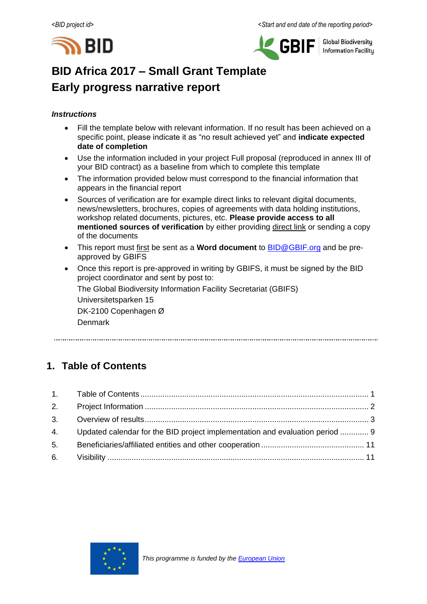



**Global Biodiversity Information Facility** 

# **BID Africa 2017 – Small Grant Template Early progress narrative report**

### *Instructions*

- Fill the template below with relevant information. If no result has been achieved on a specific point, please indicate it as "no result achieved yet" and **indicate expected date of completion**
- Use the information included in your project Full proposal (reproduced in annex III of your BID contract) as a baseline from which to complete this template
- The information provided below must correspond to the financial information that appears in the financial report
- Sources of verification are for example direct links to relevant digital documents, news/newsletters, brochures, copies of agreements with data holding institutions, workshop related documents, pictures, etc. **Please provide access to all mentioned sources of verification** by either providing direct link or sending a copy of the documents
- This report must first be sent as a **Word document** to [BID@GBIF.org](mailto:BID@GBIF.org) and be preapproved by GBIFS
- Once this report is pre-approved in writing by GBIFS, it must be signed by the BID project coordinator and sent by post to:

The Global Biodiversity Information Facility Secretariat (GBIFS)

Universitetsparken 15 DK-2100 Copenhagen Ø

Denmark

# <span id="page-0-0"></span>**1. Table of Contents**

|    | 4. Updated calendar for the BID project implementation and evaluation period  9 |  |
|----|---------------------------------------------------------------------------------|--|
| 5. |                                                                                 |  |
|    |                                                                                 |  |

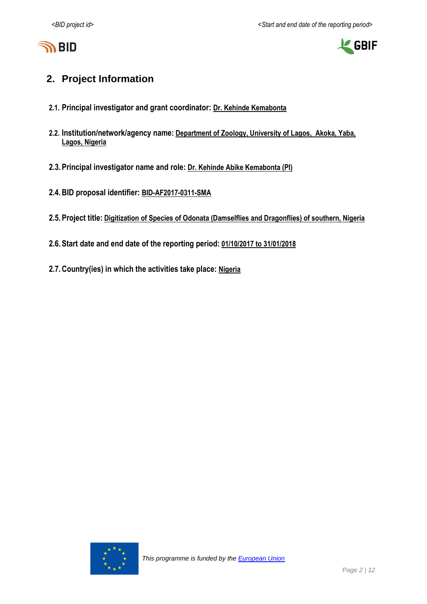



# <span id="page-1-0"></span>**2. Project Information**

- **2.1. Principal investigator and grant coordinator: Dr. Kehinde Kemabonta**
- **2.2. Institution/network/agency name: Department of Zoology, University of Lagos, Akoka, Yaba, Lagos, Nigeria**
- **2.3.Principal investigator name and role: Dr. Kehinde Abike Kemabonta (PI)**
- **2.4.BID proposal identifier: BID-AF2017-0311-SMA**
- **2.5.Project title: Digitization of Species of Odonata (Damselflies and Dragonflies) of southern, Nigeria**
- **2.6.Start date and end date of the reporting period: 01/10/2017 to 31/01/2018**
- <span id="page-1-1"></span>**2.7.Country(ies) in which the activities take place: Nigeria**

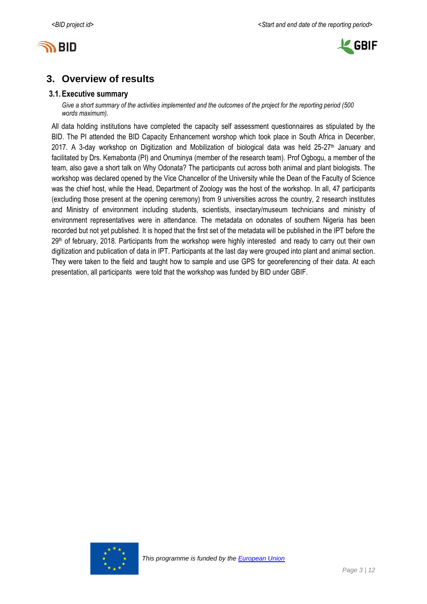



# **3. Overview of results**

### **3.1.Executive summary**

*Give a short summary of the activities implemented and the outcomes of the project for the reporting period (500 words maximum).*

All data holding institutions have completed the capacity self assessment questionnaires as stipulated by the BID. The PI attended the BID Capacity Enhancement worshop which took place in South Africa in Decenber, 2017. A 3-day workshop on Digitization and Mobilization of biological data was held  $25-27$ <sup>th</sup> January and facilitated by Drs. Kemabonta (PI) and Onuminya (member of the research team). Prof Ogbogu, a member of the team, also gave a short talk on Why Odonata? The participants cut across both animal and plant biologists. The workshop was declared opened by the Vice Chancellor of the University while the Dean of the Faculty of Science was the chief host, while the Head, Department of Zoology was the host of the workshop. In all, 47 participants (excluding those present at the opening ceremony) from 9 universities across the country, 2 research institutes and Ministry of environment including students, scientists, insectary/museum technicians and ministry of environment representatives were in attendance. The metadata on odonates of southern Nigeria has been recorded but not yet published. It is hoped that the first set of the metadata will be published in the IPT before the 29th of february, 2018. Participants from the workshop were highly interested and ready to carry out their own digitization and publication of data in IPT. Participants at the last day were grouped into plant and animal section. They were taken to the field and taught how to sample and use GPS for georeferencing of their data. At each presentation, all participants were told that the workshop was funded by BID under GBIF.

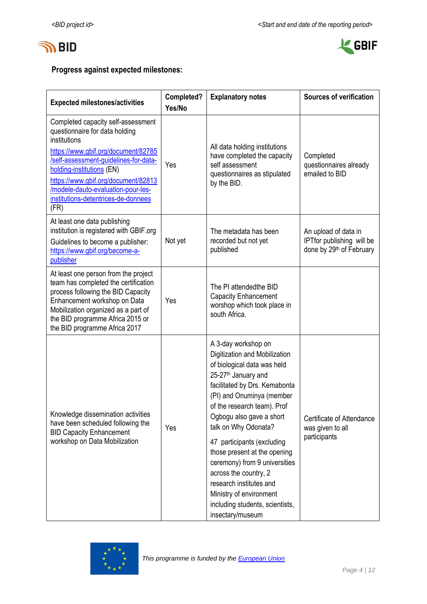



## **Progress against expected milestones:**

| <b>Expected milestones/activities</b>                                                                                                                                                                                                                                                                                         | Completed?<br>Yes/No | <b>Explanatory notes</b>                                                                                                                                                                                                                                                                                                                                                                                                                                                                                     | <b>Sources of verification</b>                                                |
|-------------------------------------------------------------------------------------------------------------------------------------------------------------------------------------------------------------------------------------------------------------------------------------------------------------------------------|----------------------|--------------------------------------------------------------------------------------------------------------------------------------------------------------------------------------------------------------------------------------------------------------------------------------------------------------------------------------------------------------------------------------------------------------------------------------------------------------------------------------------------------------|-------------------------------------------------------------------------------|
| Completed capacity self-assessment<br>questionnaire for data holding<br>institutions<br>https://www.gbif.org/document/82785<br>/self-assessment-guidelines-for-data-<br>holding-institutions (EN)<br>https://www.gbif.org/document/82813<br>/modele-dauto-evaluation-pour-les-<br>institutions-detentrices-de-donnees<br>(FR) | Yes                  | All data holding institutions<br>have completed the capacity<br>self assessment<br>questionnaires as stipulated<br>by the BID.                                                                                                                                                                                                                                                                                                                                                                               | Completed<br>questionnaires already<br>emailed to BID                         |
| At least one data publishing<br>institution is registered with GBIF.org<br>Guidelines to become a publisher:<br>https://www.gbif.org/become-a-<br>publisher                                                                                                                                                                   | Not yet              | The metadata has been<br>recorded but not yet<br>published                                                                                                                                                                                                                                                                                                                                                                                                                                                   | An upload of data in<br>IPTfor publishing will be<br>done by 29th of February |
| At least one person from the project<br>team has completed the certification<br>process following the BID Capacity<br>Enhancement workshop on Data<br>Mobilization organized as a part of<br>the BID programme Africa 2015 or<br>the BID programme Africa 2017                                                                | Yes                  | The PI attendedthe BID<br><b>Capacity Enhancement</b><br>worshop which took place in<br>south Africa.                                                                                                                                                                                                                                                                                                                                                                                                        |                                                                               |
| Knowledge dissemination activities<br>have been scheduled following the<br><b>BID Capacity Enhancement</b><br>workshop on Data Mobilization                                                                                                                                                                                   | Yes                  | A 3-day workshop on<br>Digitization and Mobilization<br>of biological data was held<br>25-27 <sup>th</sup> January and<br>facilitated by Drs. Kemabonta<br>(PI) and Onuminya (member<br>of the research team). Prof<br>Ogbogu also gave a short<br>talk on Why Odonata?<br>47 participants (excluding<br>those present at the opening<br>ceremony) from 9 universities<br>across the country, 2<br>research institutes and<br>Ministry of environment<br>including students, scientists,<br>insectary/museum | Certificate of Attendance<br>was given to all<br>participants                 |

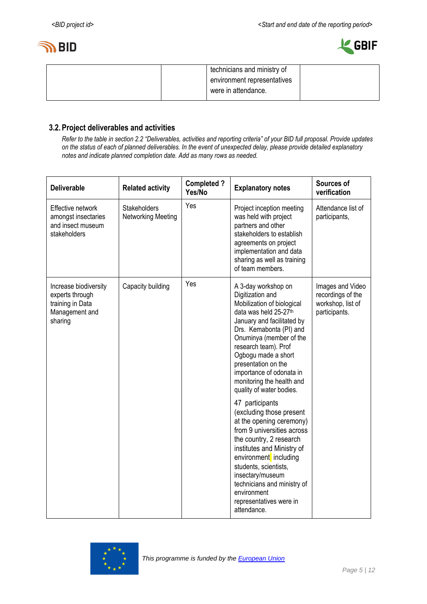



| technicians and ministry of |  |
|-----------------------------|--|
| environment representatives |  |
| were in attendance.         |  |
|                             |  |

### **3.2.Project deliverables and activities**

*Refer to the table in section 2.2 "Deliverables, activities and reporting criteria" of your BID full proposal. Provide updates on the status of each of planned deliverables. In the event of unexpected delay, please provide detailed explanatory notes and indicate planned completion date. Add as many rows as needed.*

| <b>Deliverable</b>                                                                        | <b>Related activity</b>                   | <b>Completed?</b><br>Yes/No | <b>Explanatory notes</b>                                                                                                                                                                                                                                                                                                                                                                                                                                                                                                                                                                                                                                                      | Sources of<br>verification                                                  |
|-------------------------------------------------------------------------------------------|-------------------------------------------|-----------------------------|-------------------------------------------------------------------------------------------------------------------------------------------------------------------------------------------------------------------------------------------------------------------------------------------------------------------------------------------------------------------------------------------------------------------------------------------------------------------------------------------------------------------------------------------------------------------------------------------------------------------------------------------------------------------------------|-----------------------------------------------------------------------------|
| Effective network<br>amongst insectaries<br>and insect museum<br>stakeholders             | <b>Stakeholders</b><br>Networking Meeting | Yes                         | Project inception meeting<br>was held with project<br>partners and other<br>stakeholders to establish<br>agreements on project<br>implementation and data<br>sharing as well as training<br>of team members.                                                                                                                                                                                                                                                                                                                                                                                                                                                                  | Attendance list of<br>participants,                                         |
| Increase biodiversity<br>experts through<br>training in Data<br>Management and<br>sharing | Capacity building                         | Yes                         | A 3-day workshop on<br>Digitization and<br>Mobilization of biological<br>data was held 25-27th<br>January and facilitated by<br>Drs. Kemabonta (PI) and<br>Onuminya (member of the<br>research team). Prof<br>Ogbogu made a short<br>presentation on the<br>importance of odonata in<br>monitoring the health and<br>quality of water bodies.<br>47 participants<br>(excluding those present<br>at the opening ceremony)<br>from 9 universities across<br>the country, 2 research<br>institutes and Ministry of<br>environment including<br>students, scientists,<br>insectary/museum<br>technicians and ministry of<br>environment<br>representatives were in<br>attendance. | Images and Video<br>recordings of the<br>workshop, list of<br>participants. |

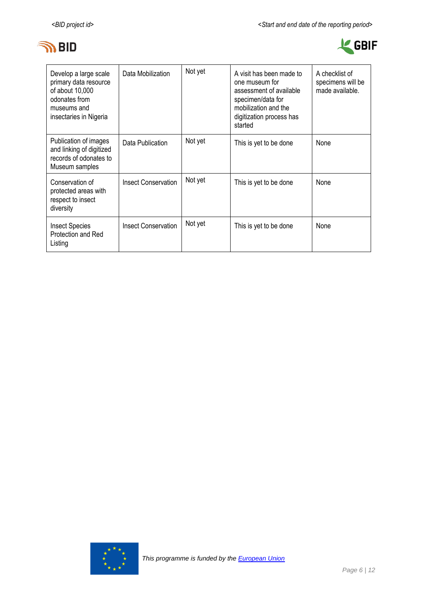



| Develop a large scale<br>primary data resource<br>of about 10,000<br>odonates from<br>museums and<br>insectaries in Nigeria | Data Mobilization          | Not yet | A visit has been made to<br>one museum for<br>assessment of available<br>specimen/data for<br>mobilization and the<br>digitization process has<br>started | A checklist of<br>specimens will be<br>made available. |
|-----------------------------------------------------------------------------------------------------------------------------|----------------------------|---------|-----------------------------------------------------------------------------------------------------------------------------------------------------------|--------------------------------------------------------|
| Publication of images<br>and linking of digitized<br>records of odonates to<br>Museum samples                               | Data Publication           | Not yet | This is yet to be done                                                                                                                                    | None                                                   |
| Conservation of<br>protected areas with<br>respect to insect<br>diversity                                                   | <b>Insect Conservation</b> | Not yet | This is yet to be done                                                                                                                                    | None                                                   |
| <b>Insect Species</b><br>Protection and Red<br>Listing                                                                      | <b>Insect Conservation</b> | Not yet | This is yet to be done                                                                                                                                    | None                                                   |

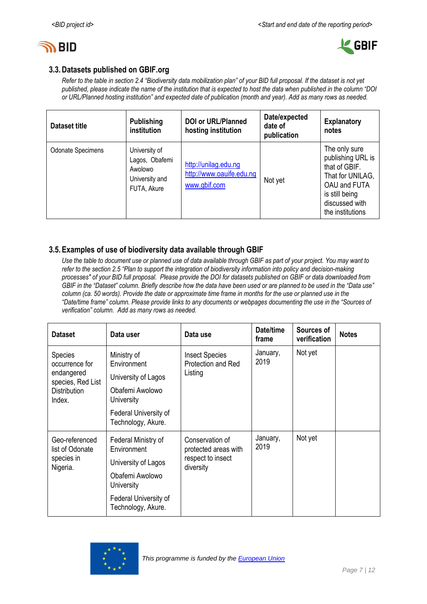



### **3.3.Datasets published on GBIF.org**

*Refer to the table in section 2.4 "Biodiversity data mobilization plan" of your BID full proposal. If the dataset is not yet published, please indicate the name of the institution that is expected to host the data when published in the column "DOI or URL/Planned hosting institution" and expected date of publication (month and year). Add as many rows as needed.*

| Dataset title            | <b>Publishing</b><br>institution                                            | <b>DOI or URL/Planned</b><br>hosting institution                 | Date/expected<br>date of<br>publication | <b>Explanatory</b><br>notes                                                                                                                     |
|--------------------------|-----------------------------------------------------------------------------|------------------------------------------------------------------|-----------------------------------------|-------------------------------------------------------------------------------------------------------------------------------------------------|
| <b>Odonate Specimens</b> | University of<br>Lagos, Obafemi<br>Awolowo<br>University and<br>FUTA, Akure | http://unilag.edu.ng<br>http://www.oauife.edu.ng<br>www.gbif.com | Not yet                                 | The only sure<br>publishing URL is<br>that of GBIF.<br>That for UNILAG,<br>OAU and FUTA<br>is still being<br>discussed with<br>the institutions |

### **3.5.Examples of use of biodiversity data available through GBIF**

*Use the table to document use or planned use of data available through GBIF as part of your project. You may want to refer to the section 2.5 "Plan to support the integration of biodiversity information into policy and decision-making processes" of your BID full proposal. Please provide the DOI for datasets published on GBIF or data downloaded from GBIF in the "Dataset" column. Briefly describe how the data have been used or are planned to be used in the "Data use" column (ca. 50 words). Provide the date or approximate time frame in months for the use or planned use in the "Date/time frame" column. Please provide links to any documents or webpages documenting the use in the "Sources of verification" column. Add as many rows as needed.*

| <b>Dataset</b>                    | Data user                                   | Data use                                    | Date/time<br>frame | Sources of<br>verification | <b>Notes</b> |
|-----------------------------------|---------------------------------------------|---------------------------------------------|--------------------|----------------------------|--------------|
| <b>Species</b><br>occurrence for  | Ministry of<br>Environment                  | <b>Insect Species</b><br>Protection and Red | January,<br>2019   | Not yet                    |              |
| endangered<br>species, Red List   | University of Lagos                         | Listing                                     |                    |                            |              |
| <b>Distribution</b><br>Index.     | Obafemi Awolowo<br>University               |                                             |                    |                            |              |
|                                   | Federal University of<br>Technology, Akure. |                                             |                    |                            |              |
| Geo-referenced<br>list of Odonate | Federal Ministry of<br>Environment          | Conservation of<br>protected areas with     | January,<br>2019   | Not yet                    |              |
| species in<br>Nigeria.            | University of Lagos                         | respect to insect<br>diversity              |                    |                            |              |
|                                   | Obafemi Awolowo<br>University               |                                             |                    |                            |              |
|                                   | Federal University of<br>Technology, Akure. |                                             |                    |                            |              |

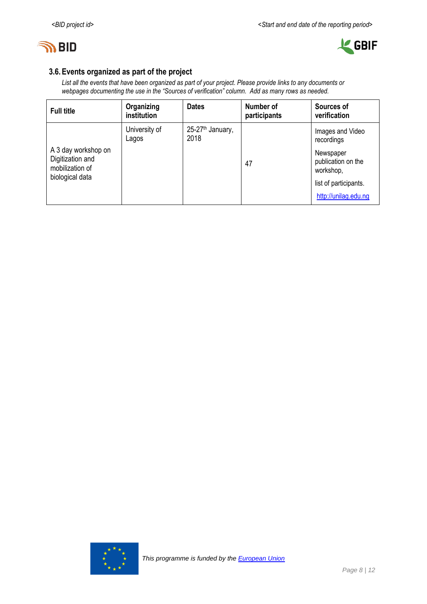



### **3.6.Events organized as part of the project**

*List all the events that have been organized as part of your project. Please provide links to any documents or webpages documenting the use in the "Sources of verification" column. Add as many rows as needed.*

| <b>Full title</b>                                                             | Organizing<br>institution | <b>Dates</b>                         | Number of<br>participants | Sources of<br>verification                                                                                                      |
|-------------------------------------------------------------------------------|---------------------------|--------------------------------------|---------------------------|---------------------------------------------------------------------------------------------------------------------------------|
| A 3 day workshop on<br>Digitization and<br>mobilization of<br>biological data | University of<br>Lagos    | 25-27 <sup>th</sup> January,<br>2018 | 47                        | Images and Video<br>recordings<br>Newspaper<br>publication on the<br>workshop,<br>list of participants.<br>http://unilag.edu.ng |

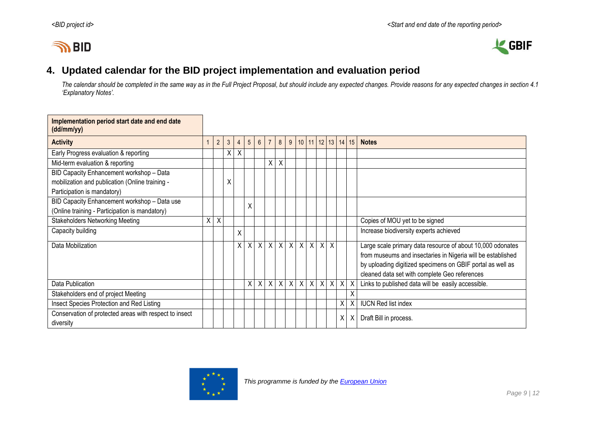# **IN BID**



# **4. Updated calendar for the BID project implementation and evaluation period**

*The calendar should be completed in the same way as in the Full Project Proposal, but should include any expected changes. Provide reasons for any expected changes in section 4.1 'Explanatory Notes'.*

<span id="page-8-0"></span>

| Implementation period start date and end date<br>(dd/mm/yy) |    |                |                |                |         |             |                |         |                |              |                           |         |                  |   |              |                                                             |
|-------------------------------------------------------------|----|----------------|----------------|----------------|---------|-------------|----------------|---------|----------------|--------------|---------------------------|---------|------------------|---|--------------|-------------------------------------------------------------|
| <b>Activity</b>                                             |    | $\overline{2}$ | $\mathfrak{Z}$ | $\overline{4}$ | 5       | $6^{\circ}$ | $\overline{7}$ | 8       | 9              |              | $10$   11   12   13       |         |                  |   | 14 15        | <b>Notes</b>                                                |
| Early Progress evaluation & reporting                       |    |                | X              | Χ              |         |             |                |         |                |              |                           |         |                  |   |              |                                                             |
| Mid-term evaluation & reporting                             |    |                |                |                |         |             | X              | X       |                |              |                           |         |                  |   |              |                                                             |
| BID Capacity Enhancement workshop - Data                    |    |                |                |                |         |             |                |         |                |              |                           |         |                  |   |              |                                                             |
| mobilization and publication (Online training -             |    |                | X              |                |         |             |                |         |                |              |                           |         |                  |   |              |                                                             |
| Participation is mandatory)                                 |    |                |                |                |         |             |                |         |                |              |                           |         |                  |   |              |                                                             |
| BID Capacity Enhancement workshop - Data use                |    |                |                |                | Χ       |             |                |         |                |              |                           |         |                  |   |              |                                                             |
| (Online training - Participation is mandatory)              |    |                |                |                |         |             |                |         |                |              |                           |         |                  |   |              |                                                             |
| <b>Stakeholders Networking Meeting</b>                      | X. | X              |                |                |         |             |                |         |                |              |                           |         |                  |   |              | Copies of MOU yet to be signed                              |
| Capacity building                                           |    |                |                | X              |         |             |                |         |                |              |                           |         |                  |   |              | Increase biodiversity experts achieved                      |
| Data Mobilization                                           |    |                |                |                | $X$ $X$ |             |                |         |                |              | x   x   x   x   x   x   x |         | $\chi$           |   |              | Large scale primary data resource of about 10,000 odonates  |
|                                                             |    |                |                |                |         |             |                |         |                |              |                           |         |                  |   |              | from museums and insectaries in Nigeria will be established |
|                                                             |    |                |                |                |         |             |                |         |                |              |                           |         |                  |   |              | by uploading digitized specimens on GBIF portal as well as  |
|                                                             |    |                |                |                |         |             |                |         |                |              |                           |         |                  |   |              | cleaned data set with complete Geo references               |
| Data Publication                                            |    |                |                |                | X.      | X           |                | $X$ $X$ | $\overline{X}$ | $\mathsf{X}$ | $\mathsf{X}$              | $\sf X$ | $\boldsymbol{X}$ | X |              | Links to published data will be easily accessible.          |
| Stakeholders end of project Meeting                         |    |                |                |                |         |             |                |         |                |              |                           |         |                  |   | $\checkmark$ |                                                             |
| Insect Species Protection and Red Listing                   |    |                |                |                |         |             |                |         |                |              |                           |         |                  | X | Χ            | <b>IUCN Red list index</b>                                  |
| Conservation of protected areas with respect to insect      |    |                |                |                |         |             |                |         |                |              |                           |         |                  | Χ |              | Draft Bill in process.                                      |
| diversity                                                   |    |                |                |                |         |             |                |         |                |              |                           |         |                  |   |              |                                                             |

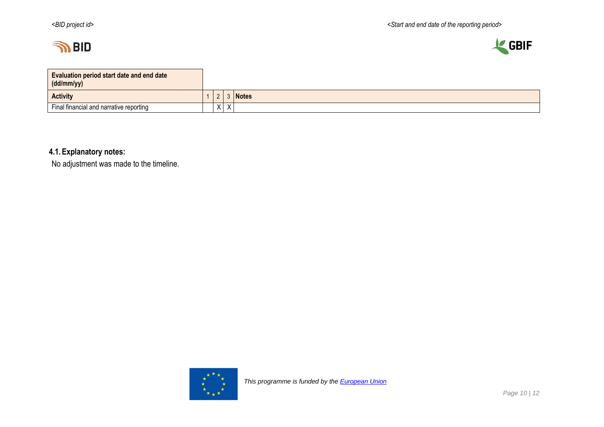



| <b>Evaluation period start date and end date</b><br>(dd/mm/yy) |           |                           |              |
|----------------------------------------------------------------|-----------|---------------------------|--------------|
| <b>Activity</b>                                                |           |                           | <b>Notes</b> |
| Final financial and narrative reporting                        | $\lambda$ | $\mathbf{v}$<br>$\lambda$ |              |

**4.1.Explanatory notes:**

No adjustment was made to the timeline.

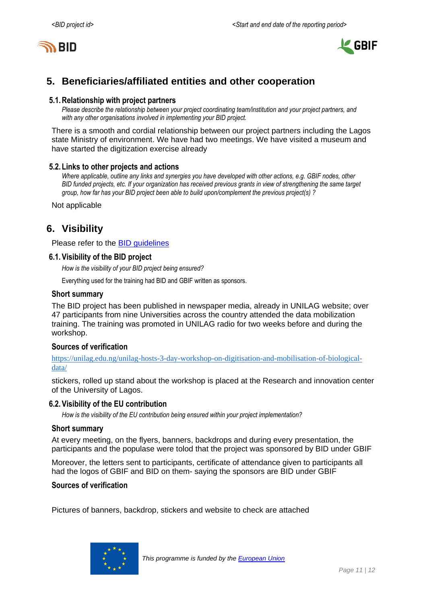



# <span id="page-10-0"></span>**5. Beneficiaries/affiliated entities and other cooperation**

### **5.1.Relationship with project partners**

*Please describe the relationship between your project coordinating team/institution and your project partners, and with any other organisations involved in implementing your BID project.*

There is a smooth and cordial relationship between our project partners including the Lagos state Ministry of environment. We have had two meetings. We have visited a museum and have started the digitization exercise already

### **5.2.Links to other projects and actions**

*Where applicable, outline any links and synergies you have developed with other actions, e.g. GBIF nodes, other BID funded projects, etc. If your organization has received previous grants in view of strengthening the same target group, how far has your BID project been able to build upon/complement the previous project(s) ?*

Not applicable

## <span id="page-10-1"></span>**6. Visibility**

Please refer to the [BID guidelines](http://bid.gbif.org/en/community/communication-guidelines/)

### **6.1.Visibility of the BID project**

*How is the visibility of your BID project being ensured?*

Everything used for the training had BID and GBIF written as sponsors.

### **Short summary**

The BID project has been published in newspaper media, already in UNILAG website; over 47 participants from nine Universities across the country attended the data mobilization training. The training was promoted in UNILAG radio for two weeks before and during the workshop.

### **Sources of verification**

[https://unilag.edu.ng/unilag-hosts-3-day-workshop-on-digitisation-and-mobilisation-of-biological](https://unilag.edu.ng/unilag-hosts-3-day-workshop-on-digitisation-and-mobilisation-of-biological-data/)[data/](https://unilag.edu.ng/unilag-hosts-3-day-workshop-on-digitisation-and-mobilisation-of-biological-data/)

stickers, rolled up stand about the workshop is placed at the Research and innovation center of the University of Lagos.

#### **6.2.Visibility of the EU contribution**

*How is the visibility of the EU contribution being ensured within your project implementation?*

#### **Short summary**

At every meeting, on the flyers, banners, backdrops and during every presentation, the participants and the populase were tolod that the project was sponsored by BID under GBIF

Moreover, the letters sent to participants, certificate of attendance given to participants all had the logos of GBIF and BID on them- saying the sponsors are BID under GBIF

#### **Sources of verification**

Pictures of banners, backdrop, stickers and website to check are attached